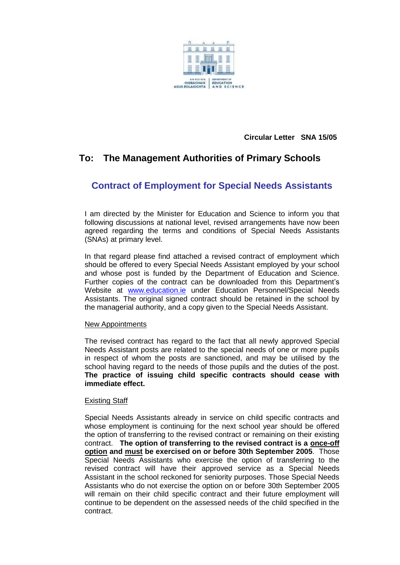

 **Circular Letter SNA 15/05**

# **To: The Management Authorities of Primary Schools**

## **Contract of Employment for Special Needs Assistants**

I am directed by the Minister for Education and Science to inform you that following discussions at national level, revised arrangements have now been agreed regarding the terms and conditions of Special Needs Assistants (SNAs) at primary level.

In that regard please find attached a revised contract of employment which should be offered to every Special Needs Assistant employed by your school and whose post is funded by the Department of Education and Science. Further copies of the contract can be downloaded from this Department's Website at [www.education.ie](http://www.education.ie/) under Education Personnel/Special Needs Assistants. The original signed contract should be retained in the school by the managerial authority, and a copy given to the Special Needs Assistant.

#### New Appointments

The revised contract has regard to the fact that all newly approved Special Needs Assistant posts are related to the special needs of one or more pupils in respect of whom the posts are sanctioned, and may be utilised by the school having regard to the needs of those pupils and the duties of the post. **The practice of issuing child specific contracts should cease with immediate effect.**

## Existing Staff

Special Needs Assistants already in service on child specific contracts and whose employment is continuing for the next school year should be offered the option of transferring to the revised contract or remaining on their existing contract. **The option of transferring to the revised contract is a once-off option and must be exercised on or before 30th September 2005**. Those Special Needs Assistants who exercise the option of transferring to the revised contract will have their approved service as a Special Needs Assistant in the school reckoned for seniority purposes. Those Special Needs Assistants who do not exercise the option on or before 30th September 2005 will remain on their child specific contract and their future employment will continue to be dependent on the assessed needs of the child specified in the contract.